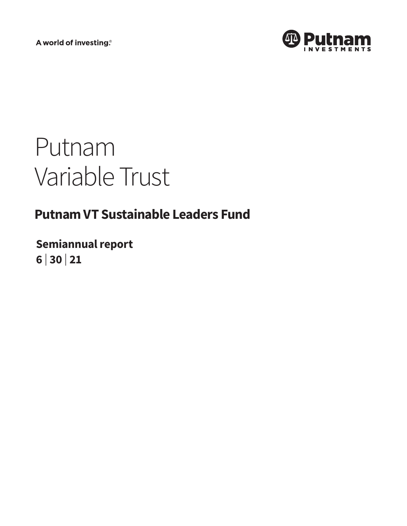A world of investing®



# Putnam Variable Trust

# **Putnam VT Sustainable Leaders Fund**

**Semiannual report 6 <sup>|</sup> 30 <sup>|</sup> 21**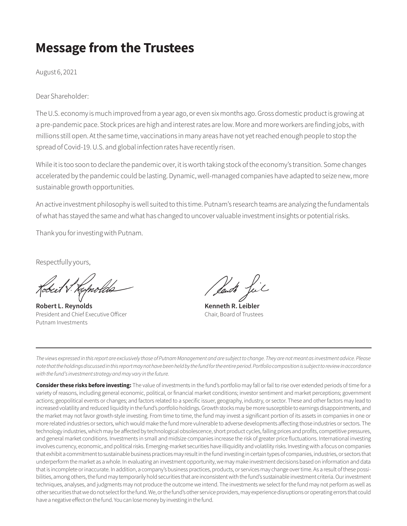# **Message from the Trustees**

August 6, 2021

Dear Shareholder:

The U.S. economy is much improved from a year ago, or even six months ago. Gross domestic product is growing at a pre-pandemic pace. Stock prices are high and interest rates are low. More and more workers are finding jobs, with millions still open. At the same time, vaccinations in many areas have not yet reached enough people to stop the spread of Covid-19. U.S. and global infection rates have recently risen.

While it is too soon to declare the pandemic over, it is worth taking stock of the economy's transition. Some changes accelerated by the pandemic could be lasting. Dynamic, well-managed companies have adapted to seize new, more sustainable growth opportunities.

An active investment philosophy is well suited to this time. Putnam's research teams are analyzing the fundamentals of what has stayed the same and what has changed to uncover valuable investment insights or potential risks.

Thank you for investing with Putnam.

Respectfully yours,

**Robert L. Reynolds Kenneth R. Leibler** President and Chief Executive Officer Chair, Board of Trustees Putnam Investments

*The views expressed in this report are exclusively those of Putnam Management and are subject to change. They are not meant as investment advice. Please note that the holdings discussed in this report may not have been held by the fund for the entire period. Portfolio composition is subject to review in accordance with the fund's investment strategy and may vary in the future.*

**Consider these risks before investing:** The value of investments in the fund's portfolio may fall or fail to rise over extended periods of time for a variety of reasons, including general economic, political, or financial market conditions; investor sentiment and market perceptions; government actions; geopolitical events or changes; and factors related to a specific issuer, geography, industry, or sector. These and other factors may lead to increased volatility and reduced liquidity in the fund's portfolio holdings. Growth stocks may be more susceptible to earnings disappointments, and the market may not favor growth-style investing. From time to time, the fund may invest a significant portion of its assets in companies in one or more related industries or sectors, which would make the fund more vulnerable to adverse developments affecting those industries or sectors. The technology industries, which may be affected by technological obsolescence, short product cycles, falling prices and profits, competitive pressures, and general market conditions. Investments in small and midsize companies increase the risk of greater price fluctuations. International investing involves currency, economic, and political risks. Emerging-market securities have illiquidity and volatility risks. Investing with a focus on companies that exhibit a commitment to sustainable business practices may result in the fund investing in certain types of companies, industries, or sectors that underperform the market as a whole. In evaluating an investment opportunity, we may make investment decisions based on information and data that is incomplete or inaccurate. In addition, a company's business practices, products, or services may change over time. As a result of these possibilities, among others, the fund may temporarily hold securities that are inconsistent with the fund's sustainable investment criteria. Our investment techniques, analyses, and judgments may not produce the outcome we intend. The investments we select for the fund may not perform as well as other securities that we do not select for the fund. We, or the fund's other service providers, may experience disruptions or operating errors that could have a negative effect on the fund. You can lose money by investing in the fund.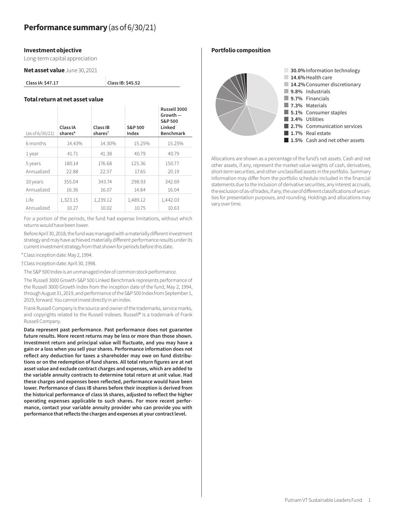#### **Investment objective**

Long-term capital appreciation

**Net asset value** June 30, 2021

**Class IA: \$47.17 Class IB: \$45.52**

# **Total return at net asset value**

| (as of 6/30/21) | Class IA<br>shares* | Class IB<br>shares <sup>t</sup> | S&P 500<br>Index | Russell 3000<br>$Growth -$<br>S&P 500<br>Linked<br><b>Benchmark</b> |
|-----------------|---------------------|---------------------------------|------------------|---------------------------------------------------------------------|
| 6 months        | 14.43%              | 14.30%                          | 15.25%           | 15.25%                                                              |
| 1 year          | 41.71               | 41.38                           | 40.79            | 40.79                                                               |
| 5 years         | 180.14              | 176.68                          | 125.36           | 150.77                                                              |
| Annualized      | 22.88               | 22.57                           | 17.65            | 20.19                                                               |
| 10 years        | 355.04              | 343.74                          | 298.93           | 342.69                                                              |
| Annualized      | 16.36               | 16.07                           | 14.84            | 16.04                                                               |
| l ife           | 1,323.15            | 1,239.12                        | 1,489.12         | 1,442.03                                                            |
| Annualized      | 10.27               | 10.02                           | 10.75            | 10.63                                                               |

For a portion of the periods, the fund had expense limitations, without which returns would have been lower.

Before April 30, 2018, the fund was managed with a materially different investment strategy and may have achieved materially different performance results under its current investment strategy from that shown for periods before this date.

\*Class inception date: May 2, 1994.

†Class inception date: April 30, 1998.

The S&P 500 Index is an unmanaged index of common stock performance.

The Russell 3000 Growth-S&P 500 Linked Benchmark represents performance of the Russell 3000 Growth Index from the inception date of the fund, May 2, 1994, through August 31, 2019, and performance of the S&P 500 Index from September 1, 2019, forward. You cannot invest directly in an index.

Frank Russell Company is the source and owner of the trademarks, service marks, and copyrights related to the Russell Indexes. Russell® is a trademark of Frank Russell Company.

**Data represent past performance. Past performance does not guarantee future results. More recent returns may be less or more than those shown. Investment return and principal value will fluctuate, and you may have a gain or a loss when you sell your shares. Performance information does not reflect any deduction for taxes a shareholder may owe on fund distributions or on the redemption of fund shares. All total return figures are at net asset value and exclude contract charges and expenses, which are added to the variable annuity contracts to determine total return at unit value. Had these charges and expenses been reflected, performance would have been lower. Performance of class IB shares before their inception is derived from the historical performance of class IA shares, adjusted to reflect the higher operating expenses applicable to such shares. For more recent performance, contact your variable annuity provider who can provide you with performance that reflects the charges and expenses at your contract level.**

**Portfolio composition**



Allocations are shown as a percentage of the fund's net assets. Cash and net other assets, if any, represent the market value weights of cash, derivatives, short-term securities, and other unclassified assets in the portfolio. Summary information may differ from the portfolio schedule included in the financial statements due to the inclusion of derivative securities, any interest accruals, the exclusion of as-of trades, if any, the use of different classifications of securities for presentation purposes, and rounding. Holdings and allocations may vary over time.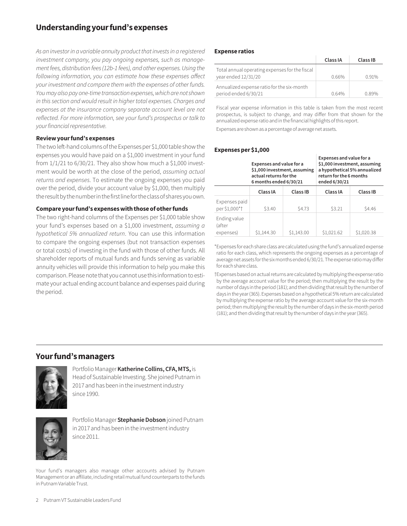# **Understanding your fund's expenses**

*As an investor in a variable annuity product that invests in a registered investment company, you pay ongoing expenses, such as management fees, distribution fees (12b-1 fees), and other expenses. Using the following information, you can estimate how these expenses affect your investment and compare them with the expenses of other funds. You may also pay one-time transaction expenses, which are not shown in this section and would result in higher total expenses. Charges and*  expenses at the insurance company separate account level are not *reflected. For more information, see your fund's prospectus or talk to your financial representative.*

#### **Review your fund's expenses**

The two left-hand columns of the Expenses per \$1,000 table show the expenses you would have paid on a \$1,000 investment in your fund from  $1/1/21$  to  $6/30/21$ . They also show how much a \$1,000 investment would be worth at the close of the period, *assuming actual returns and expenses*. To estimate the ongoing expenses you paid over the period, divide your account value by \$1,000, then multiply the result by the number in the first line for the class of shares you own.

#### **Compare your fund's expenses with those of other funds**

The two right-hand columns of the Expenses per \$1,000 table show your fund's expenses based on a \$1,000 investment, *assuming a hypothetical 5% annualized return*. You can use this information to compare the ongoing expenses (but not transaction expenses or total costs) of investing in the fund with those of other funds. All shareholder reports of mutual funds and funds serving as variable annuity vehicles will provide this information to help you make this comparison. Please note that you cannot use this information to estimate your actual ending account balance and expenses paid during the period.

#### **Expense ratios**

|                                                                       | Class IA | Class IB |
|-----------------------------------------------------------------------|----------|----------|
| Total annual operating expenses for the fiscal<br>year ended 12/31/20 | 0.66%    | 0.91%    |
| Annualized expense ratio for the six-month<br>period ended 6/30/21    | 0.64%    | 0.89%    |

Fiscal year expense information in this table is taken from the most recent prospectus, is subject to change, and may differ from that shown for the annualized expense ratio and in the financial highlights of this report.

Expenses are shown as a percentage of average net assets.

#### **Expenses per \$1,000**

|                                     | Expenses and value for a<br>\$1,000 investment, assuming<br>actual returns for the<br>6 months ended 6/30/21 |            | Expenses and value for a<br>\$1,000 investment, assuming<br>a hypothetical 5% annualized<br>return for the 6 months<br>ended 6/30/21 |            |
|-------------------------------------|--------------------------------------------------------------------------------------------------------------|------------|--------------------------------------------------------------------------------------------------------------------------------------|------------|
|                                     | Class IA                                                                                                     | Class IB   | Class IA                                                                                                                             | Class IB   |
| Expenses paid<br>per \$1,000*†      | \$3.40                                                                                                       | \$4.73     | \$3.21                                                                                                                               | \$4.46     |
| Ending value<br>(after<br>expenses) | \$1,144.30                                                                                                   | \$1,143.00 | \$1,021.62                                                                                                                           | \$1,020.38 |

\*Expenses for each share class are calculated using the fund's annualized expense ratio for each class, which represents the ongoing expenses as a percentage of average net assets for the six months ended 6/30/21. The expense ratio may differ for each share class.

†Expenses based on actual returns are calculated by multiplying the expense ratio by the average account value for the period; then multiplying the result by the number of days in the period (181); and then dividing that result by the number of days in the year (365). Expenses based on a hypothetical 5% return are calculated by multiplying the expense ratio by the average account value for the six-month period; then multiplying the result by the number of days in the six-month period (181); and then dividing that result by the number of days in the year (365).

# **Your fund's managers**



Portfolio Manager **Katherine Collins, CFA, MTS,** is Head of Sustainable Investing. She joined Putnam in 2017 and has been in the investment industry since 1990.



Portfolio Manager **Stephanie Dobson** joined Putnam in 2017 and has been in the investment industry since 2011.

Your fund's managers also manage other accounts advised by Putnam Management or an affiliate, including retail mutual fund counterparts to the funds in Putnam Variable Trust.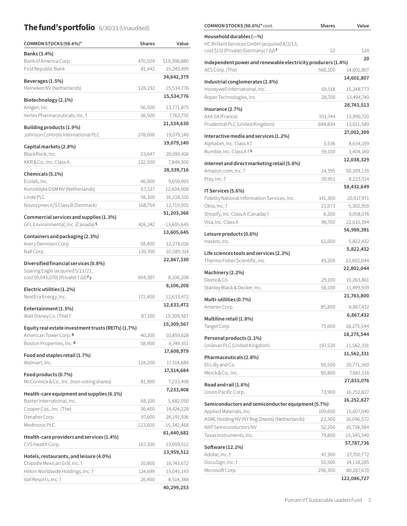# **The fund's portfolio** 6/30/21 (Unaudited) **COMMON STOCKS (98.6%)\*** *cont.* Shares Value

| COMMON STOCKS (98.6%)*                                                    | <b>Shares</b>    | Value                    |
|---------------------------------------------------------------------------|------------------|--------------------------|
| Banks (3.4%)                                                              |                  |                          |
| Bank of America Corp.                                                     | 470,504          | \$19,398,880             |
| First Republic Bank                                                       | 81,442           | 15,243,499               |
| Beverages (1.5%)                                                          |                  | 34,642,379               |
| Heineken NV (Netherlands)                                                 | 128,192          | 15,534,776               |
|                                                                           |                  | 15,534,776               |
| Biotechnology (2.1%)<br>Amgen, Inc.                                       | 56,500           | 13,771,875               |
| Vertex Pharmaceuticals, Inc. 1                                            | 38,500           | 7,762,755                |
|                                                                           |                  | 21,534,630               |
| Building products (1.9%)                                                  |                  |                          |
| Johnson Controls International PLC                                        | 278,000          | 19,079,140<br>19,079,140 |
| Capital markets (2.8%)                                                    |                  |                          |
| BlackRock, Inc.                                                           | 23,647           | 20,690,416               |
| KKR & Co., Inc. Class A                                                   | 132,500          | 7,849,300                |
| Chemicals (5.1%)                                                          |                  | 28,539,716               |
| Ecolab, Inc.                                                              | 46,900           | 9,659,993                |
| Koninklijke DSM NV (Netherlands)                                          | 67,537           | 12,604,908               |
| Linde PLC                                                                 | 56,100           | 16,218,510               |
| Novozymes A/S Class B (Denmark)                                           | 168,754          | 12,719,955               |
| Commercial services and supplies (1.3%)                                   |                  | 51,203,366               |
| GFL Environmental, Inc. (Canada) S                                        | 426,242          | 13,605,645               |
| Containers and packaging (2.3%)                                           |                  | 13,605,645               |
| Avery Dennison Corp.                                                      | 58,400           | 12,278,016               |
| Ball Corp.                                                                | 130,700          | 10,589,314               |
|                                                                           |                  | 22,867,330               |
| Diversified financial services (0.8%)<br>Soaring Eagle (acquired 5/11/21, |                  |                          |
| cost \$9,043,070) (Private) † ∆∆ Fp                                       | 904,307          | 8,106,208                |
|                                                                           |                  | 8,106,208                |
| Electric utilities (1.2%)<br>NextEra Energy, Inc.                         | 172,400          | 12,633,472               |
|                                                                           |                  | 12,633,472               |
| Entertainment (1.5%)                                                      |                  |                          |
| Walt Disney Co. (The) $\dagger$                                           | 87,100           | 15,309,567               |
| Equity real estate investment trusts (REITs) (1.7%)                       |                  | 15,309,567               |
| American Tower Corp. <b>R</b>                                             | 40,200           | 10,859,628               |
| Boston Properties, Inc. R                                                 | 58,900           | 6,749,351                |
| Food and staples retail (1.7%)                                            |                  | 17,608,979               |
| Walmart, Inc.                                                             | 124,200          | 17,514,684               |
| Food products (0.7%)                                                      |                  | 17,514,684               |
| McCormick & Co., Inc. (non-voting shares)                                 | 81,900           | 7,233,408                |
|                                                                           |                  | 7,233,408                |
| Health-care equipment and supplies (6.1%)                                 |                  |                          |
| Baxter International, Inc.<br>Cooper Cos., Inc. (The)                     | 68,100<br>36,400 | 5,482,050<br>14,424,228  |
| Danaher Corp.                                                             | 97,600           | 26,191,936               |
| Medtronic PLC                                                             | 123,600          | 15,342,468               |
|                                                                           |                  | 61,440,682               |
| Health-care providers and services $(1.4\%)$                              |                  |                          |
| CVS Health Corp.                                                          | 167,300          | 13,959,512               |
| Hotels, restaurants, and leisure (4.0%)                                   |                  | 13,959,512               |
| Chipotle Mexican Grill, Inc. †                                            | 10,800           | 16,743,672               |
| Hilton Worldwide Holdings, Inc. †                                         | 124,699          | 15,041,193               |
| Vail Resorts, Inc. †                                                      | 26,900           | 8,514,388                |
|                                                                           |                  | 40,299,253               |

| COMMUN STUCKS (30.070) COM.                                               |         |                           |
|---------------------------------------------------------------------------|---------|---------------------------|
| Household durables $(-\%)$<br>HC Brillant Services GmbH (acquired 8/2/13, |         |                           |
| cost \$15) (Private) (Germany) † ∆∆F                                      | 22      | \$20                      |
| Independent power and renewable electricity producers (1.4%)              |         | 20                        |
| AES Corp. (The)                                                           | 560,100 | 14,601,807                |
| Industrial conglomerates (2.8%)                                           |         | 14,601,807                |
| Honeywell International, Inc.                                             | 69,518  | 15,248,773                |
| Roper Technologies, Inc.                                                  | 28,700  | 13,494,740                |
| Insurance (2.7%)                                                          |         | 28,743,513                |
| AXA SA (France)                                                           | 551,744 | 13,990,720                |
| Prudential PLC (United Kingdom)                                           | 684,834 | 13,011,589                |
| Interactive media and services (1.2%)                                     |         | 27,002,309                |
| Alphabet, Inc. Class A <sup>t</sup>                                       | 3,536   | 8,634,169                 |
| Bumble, Inc. Class A   S                                                  | 59,100  | 3,404,160                 |
| Internet and direct marketing retail (5.8%)                               |         | 12,038,329                |
| Amazon.com, Inc. †                                                        | 14,595  | 50,209,135                |
| Etsy, Inc. †                                                              | 39,951  | 8,223,514                 |
| IT Services (5.6%)                                                        |         | 58,432,649                |
| Fidelity National Information Services, Inc.                              | 141,300 | 20,017,971                |
| Okta, Inc. †                                                              | 21,673  | 5,302,950                 |
| Shopify, Inc. Class A (Canada) †                                          | 6,200   | 9,058,076                 |
| Visa, Inc. Class A                                                        | 96,700  | 22,610,394                |
| Leisure products (0.6%)                                                   |         | 56,989,391                |
| Hasbro, Inc.                                                              | 61,600  | 5,822,432                 |
| Life sciences tools and services (2.3%)                                   |         | 5,822,432                 |
| Thermo Fisher Scientific, Inc.                                            | 45,200  | 22,802,044                |
|                                                                           |         | 22,802,044                |
| Machinery (2.2%)<br>Deere & Co.                                           | 29,100  | 10,263,861                |
| Stanley Black & Decker, Inc.                                              | 56,100  | 11,499,939                |
|                                                                           |         | 21,763,800                |
| Multi-utilities (0.7%)<br>Ameren Corp.                                    | 85,800  | 6,867,432                 |
|                                                                           |         | 6,867,432                 |
| Multiline retail (1.8%)<br>Target Corp.                                   | 75,600  |                           |
|                                                                           |         | 18,275,544<br>18,275,544  |
| Personal products (1.1%)                                                  |         |                           |
| Unilever PLC (United Kingdom)                                             | 197,530 | 11,562,331<br>11,562,331  |
| Pharmaceuticals (2.8%)                                                    |         |                           |
| Eli Lilly and Co.                                                         | 90,500  | 20,771,560                |
| Merck & Co., Inc.                                                         | 90,800  | 7,061,516                 |
| Road and rail (1.6%)                                                      |         | 27,833,076                |
| Union Pacific Corp.                                                       | 73,900  | 16,252,827                |
| Semiconductors and semiconductor equipment (5.7%)                         |         | 16,252,827                |
| Applied Materials, Inc.                                                   | 109,600 | 15,607,040                |
| ASML Holding NV (NY Reg Shares) (Netherlands)                             | 23,300  | 16,096,572                |
| NXP Semiconductors NV                                                     | 52,200  | 10,738,584                |
| Texas Instruments, Inc.                                                   | 79,800  | 15,345,540                |
| Software (12.1%)                                                          |         | 57,787,736                |
| Adobe, Inc. †                                                             | 47,300  | 27,700,772                |
| DocuSign, Inc. †                                                          | 50,500  | 14,118,285                |
| Microsoft Corp.                                                           | 296,300 | 80,267,670<br>122,086,727 |
|                                                                           |         |                           |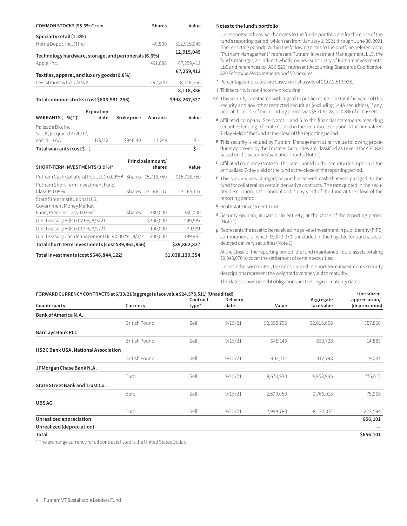| COMMON STOCKS (98.6%)* cont.                               |            |              | <b>Shares</b>     | Value         |
|------------------------------------------------------------|------------|--------------|-------------------|---------------|
| Specialty retail (1.3%)                                    |            |              |                   |               |
| Home Depot, Inc. (The)                                     |            |              | 40,500            | \$12,915,045  |
| Technology hardware, storage, and peripherals (6.6%)       |            |              |                   | 12,915,045    |
| Apple, Inc.                                                |            |              | 491,088           | 67,259,412    |
|                                                            |            |              |                   | 67,259,412    |
| Textiles, apparel, and luxury goods (0.8%)                 |            |              |                   |               |
| Levi Strauss & Co. Class A                                 |            |              | 292,870           | 8,118,356     |
|                                                            |            |              |                   | 8,118,356     |
| Total common stocks (cost \$606,981,266)                   |            |              |                   | \$998,267,527 |
|                                                            | Expiration |              |                   |               |
| WARRANTS (-%)* †                                           | date       | Strike price | Warrants          | Value         |
| Palisade Bio, Inc.                                         |            |              |                   |               |
| Ser. K, (acquired 4/20/17,                                 |            |              |                   |               |
| cost \$—) ∆∆                                               | 1/9/22     | \$946.40     | 11,244            |               |
| Total warrants (cost $\zeta$ -)                            |            |              |                   |               |
|                                                            |            |              | Principal amount/ |               |
| SHORT-TERM INVESTMENTS (3.9%)*                             |            |              | shares            | Value         |
| Putnam Cash Collateral Pool, LLC 0.09% d Shares 15,716,750 |            |              |                   | \$15,716,750  |
| Putnam Short Term Investment Fund                          |            |              |                   |               |
| Class P 0.09% L                                            |            |              | Shares 23,166,117 | 23,166,117    |
| State Street Institutional U.S.                            |            |              |                   |               |
| Government Money Market                                    |            |              |                   |               |
| Fund, Premier Class 0.03% P                                |            | Shares       | 380,000           | 380,000       |
| U.S. Treasury Bills 0.021%, 8/3/21                         |            |              | \$300,000         | 299,987       |
| U.S. Treasury Bills 0.012%, 9/2/21                         |            |              | 100,000           | 99,991        |
| U.S. Treasury Cash Management Bills 0.007%, 9/7/21         |            |              | 200,000           | 199,982       |
| Total short-term investments (cost \$39,862,856)           |            |              |                   | \$39,862,827  |

#### **Total investments (cost \$646,844,122) \$1,038,130,354**

#### **Notes to the fund's portfolio**

Unless noted otherwise, the notes to the fund's portfolio are for the close of the fund's reporting period, which ran from January 1, 2021 through June 30, 2021 (the reporting period). Within the following notes to the portfolio, references to "Putnam Management" represent Putnam Investment Management, LLC, the fund's manager, an indirect wholly-owned subsidiary of Putnam Investments, LLC and references to "ASC 820" represent Accounting Standards Codification 820 *Fair Value Measurements and Disclosures*.

- \* Percentages indicated are based on net assets of \$1,012,513,926.
- † This security is non-income-producing.
- ∆∆ This security is restricted with regard to public resale. The total fair value of this security and any other restricted securities (excluding 144A securities), if any, held at the close of the reporting period was \$8,106,228, or 0.8% of net assets.
- **<sup>d</sup>** Affiliated company. See Notes 1 and 5 to the financial statements regarding securities lending. The rate quoted in the security description is the annualized 7-day yield of the fund at the close of the reporting period.
- **<sup>F</sup>** This security is valued by Putnam Management at fair value following procedures approved by the Trustees. Securities are classified as Level 3 for ASC 820 based on the securities' valuation inputs (Note 1).
- **<sup>L</sup>** Affiliated company (Note 5). The rate quoted in the security description is the annualized 7-day yield of the fund at the close of the reporting period.
- **<sup>P</sup>** This security was pledged, or purchased with cash that was pledged, to the fund for collateral on certain derivative contracts. The rate quoted in the security description is the annualized 7-day yield of the fund at the close of the reporting period.
- **<sup>R</sup>** Real Estate Investment Trust.
- **<sup>S</sup>** Security on loan, in part or in entirety, at the close of the reporting period (Note 1).
- ƥ Represents the asset to be received in a private investment in public entity (PIPE) commitment, of which \$9,043,070 is included in the Payable for purchases of delayed delivery securities (Note 1).

At the close of the reporting period, the fund maintained liquid assets totaling \$9,043,070 to cover the settlement of certain securities.

Unless otherwise noted, the rates quoted in Short-term investments security descriptions represent the weighted average yield to maturity.

The dates shown on debt obligations are the original maturity dates.

| FORWARD CURRENCY CONTRACTS at 6/30/21 (aggregate face value \$24,578,511) (Unaudited) |                      |          |                 |             |             | Unrealized     |
|---------------------------------------------------------------------------------------|----------------------|----------|-----------------|-------------|-------------|----------------|
|                                                                                       |                      | Contract | <b>Delivery</b> |             | Aggregate   | appreciation/  |
| Counterparty                                                                          | Currency             | type*    | date            | Value       | face value  | (depreciation) |
| Bank of America N.A.                                                                  |                      |          |                 |             |             |                |
|                                                                                       | <b>British Pound</b> | Sell     | 9/15/21         | \$2,555,796 | \$2,613,656 | \$57,860       |
| <b>Barclays Bank PLC</b>                                                              |                      |          |                 |             |             |                |
|                                                                                       | <b>British Pound</b> | Sell     | 9/15/21         | 645,140     | 659,723     | 14,583         |
| HSBC Bank USA, National Association                                                   |                      |          |                 |             |             |                |
|                                                                                       | <b>British Pound</b> | Sell     | 9/15/21         | 403,714     | 412,798     | 9,084          |
| JPMorgan Chase Bank N.A.                                                              |                      |          |                 |             |             |                |
|                                                                                       | Euro                 | Sell     | 9/15/21         | 9,678,930   | 9,953,945   | 275,015        |
| State Street Bank and Trust Co.                                                       |                      |          |                 |             |             |                |
|                                                                                       | Euro                 | Sell     | 9/15/21         | 2,690,050   | 2,766,015   | 75,965         |
| <b>UBSAG</b>                                                                          |                      |          |                 |             |             |                |
|                                                                                       | Euro                 | Sell     | 9/15/21         | 7,948,780   | 8,172,374   | 223,594        |
| Unrealized appreciation                                                               |                      |          |                 |             |             | 656,101        |
| Unrealized (depreciation)                                                             |                      |          |                 |             |             |                |
| Total                                                                                 |                      |          |                 |             |             | \$656,101      |

\* The exchange currency for all contracts listed is the United States Dollar.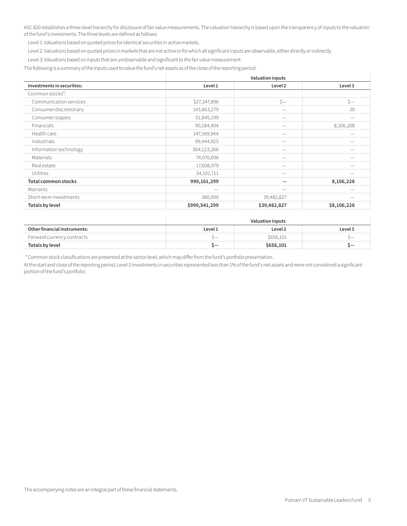ASC 820 establishes a three-level hierarchy for disclosure of fair value measurements. The valuation hierarchy is based upon the transparency of inputs to the valuation of the fund's investments. The three levels are defined as follows:

Level 1: Valuations based on quoted prices for identical securities in active markets.

Level 2: Valuations based on quoted prices in markets that are not active or for which all significant inputs are observable, either directly or indirectly.

Level 3: Valuations based on inputs that are unobservable and significant to the fair value measurement.

The following is a summary of the inputs used to value the fund's net assets as of the close of the reporting period:

|                            |               | <b>Valuation inputs</b> |             |
|----------------------------|---------------|-------------------------|-------------|
| Investments in securities: | Level 1       | Level 2                 | Level 3     |
| Common stocks*:            |               |                         |             |
| Communication services     | \$27,347,896  | $s-$                    | $s-$        |
| Consumer discretionary     | 143,863,279   |                         | 20          |
| Consumer staples           | 51,845,199    | –                       |             |
| Financials                 | 90,184,404    |                         | 8,106,208   |
| Health care                | 147,569,944   | —                       |             |
| Industrials                | 99,444,925    |                         |             |
| Information technology     | 304,123,266   |                         |             |
| Materials                  | 74,070,696    |                         |             |
| Real estate                | 17,608,979    | —                       |             |
| <b>Utilities</b>           | 34,102,711    | –                       |             |
| <b>Total common stocks</b> | 990,161,299   | —                       | 8,106,228   |
| Warrants                   |               |                         |             |
| Short-term investments     | 380,000       | 39,482,827              |             |
| Totals by level            | \$990,541,299 | \$39,482,827            | \$8,106,228 |

|                              | Valuation inputs |           |         |
|------------------------------|------------------|-----------|---------|
| Other financial instruments: | Level 1          | Level 2   | Level 3 |
| Forward currency contracts   | \—               | \$656,101 |         |
| Totals by level              |                  | \$656,101 |         |

\* Common stock classifications are presented at the sector level, which may differ from the fund's portfolio presentation.

At the start and close of the reporting period, Level 3 investments in securities represented less than 1% of the fund's net assets and were not considered a significant portion of the fund's portfolio.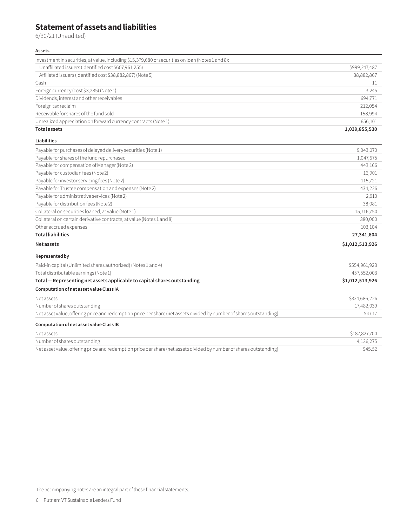# **Statement of assets and liabilities**

6/30/21 (Unaudited)

#### **Assets**

| Investment in securities, at value, including \$15,379,680 of securities on loan (Notes 1 and 8):                   |                 |
|---------------------------------------------------------------------------------------------------------------------|-----------------|
| Unaffiliated issuers (identified cost \$607,961,255)                                                                | \$999,247,487   |
| Affiliated issuers (identified cost \$38,882,867) (Note 5)                                                          | 38,882,867      |
| Cash                                                                                                                | 11              |
| Foreign currency (cost \$3,285) (Note 1)                                                                            | 3,245           |
| Dividends, interest and other receivables                                                                           | 694,771         |
| Foreign tax reclaim                                                                                                 | 212,054         |
| Receivable for shares of the fund sold                                                                              | 158,994         |
| Unrealized appreciation on forward currency contracts (Note 1)                                                      | 656,101         |
| <b>Total assets</b>                                                                                                 | 1,039,855,530   |
| <b>Liabilities</b>                                                                                                  |                 |
| Payable for purchases of delayed delivery securities (Note 1)                                                       | 9,043,070       |
| Payable for shares of the fund repurchased                                                                          | 1,047,675       |
| Payable for compensation of Manager (Note 2)                                                                        | 443,166         |
| Payable for custodian fees (Note 2)                                                                                 | 16,901          |
| Payable for investor servicing fees (Note 2)                                                                        | 115,721         |
| Payable for Trustee compensation and expenses (Note 2)                                                              | 434,226         |
| Payable for administrative services (Note 2)                                                                        | 2,910           |
| Payable for distribution fees (Note 2)                                                                              | 38,081          |
| Collateral on securities loaned, at value (Note 1)                                                                  | 15,716,750      |
| Collateral on certain derivative contracts, at value (Notes 1 and 8)                                                | 380,000         |
| Other accrued expenses                                                                                              | 103,104         |
| <b>Total liabilities</b>                                                                                            | 27,341,604      |
| Net assets                                                                                                          | \$1,012,513,926 |
| Represented by                                                                                                      |                 |
| Paid-in capital (Unlimited shares authorized) (Notes 1 and 4)                                                       | \$554,961,923   |
| Total distributable earnings (Note 1)                                                                               | 457,552,003     |
| Total - Representing net assets applicable to capital shares outstanding                                            | \$1,012,513,926 |
| Computation of net asset value Class IA                                                                             |                 |
| Net assets                                                                                                          | \$824,686,226   |
| Number of shares outstanding                                                                                        | 17,482,039      |
| Net asset value, offering price and redemption price per share (net assets divided by number of shares outstanding) | \$47.17         |
| Computation of net asset value Class IB                                                                             |                 |
| Net assets                                                                                                          | \$187,827,700   |
| Number of shares outstanding                                                                                        | 4,126,275       |

Net asset value, offering price and redemption price per share (net assets divided by number of shares outstanding) \$45.52

The accompanying notes are an integral part of these financial statements.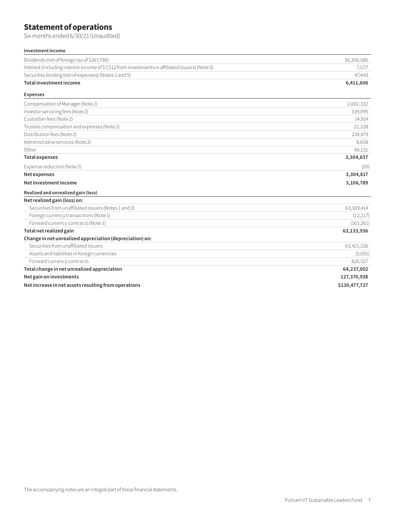# **Statement of operations**

Six months ended 6/30/21 (Unaudited)

### **Investment income**

| investment income                                                                               |               |
|-------------------------------------------------------------------------------------------------|---------------|
| Dividends (net of foreign tax of \$267,790)                                                     | \$6,356,586   |
| Interest (including interest income of \$7,512 from investments in affiliated issuers) (Note 5) | 7,577         |
| Securities lending (net of expenses) (Notes 1 and 5)                                            | 47,443        |
| Total investment income                                                                         | 6,411,606     |
| <b>Expenses</b>                                                                                 |               |
| Compensation of Manager (Note 2)                                                                | 2,602,332     |
| Investor servicing fees (Note 2)                                                                | 339,095       |
| Custodian fees (Note 2)                                                                         | 14,914        |
| Trustee compensation and expenses (Note 2)                                                      | 21,228        |
| Distribution fees (Note 2)                                                                      | 224,479       |
| Administrative services (Note 2)                                                                | 8,658         |
| Other                                                                                           | 94,131        |
| <b>Total expenses</b>                                                                           | 3,304,837     |
| Expense reduction (Note 2)                                                                      | (20)          |
| Net expenses                                                                                    | 3,304,817     |
| Net investment income                                                                           | 3,106,789     |
| Realized and unrealized gain (loss)                                                             |               |
| Net realized gain (loss) on:                                                                    |               |
| Securities from unaffiliated issuers (Notes 1 and 3)                                            | 63,309,414    |
| Foreign currency transactions (Note 1)                                                          | (12, 217)     |
| Forward currency contracts (Note 1)                                                             | (163, 261)    |
| Total net realized gain                                                                         | 63,133,936    |
| Change in net unrealized appreciation (depreciation) on:                                        |               |
| Securities from unaffiliated issuers                                                            | 63,421,526    |
| Assets and liabilities in foreign currencies                                                    | (5,051)       |
| Forward currency contracts                                                                      | 820,527       |
| Total change in net unrealized appreciation                                                     | 64,237,002    |
| Net gain on investments                                                                         | 127,370,938   |
| Net increase in net assets resulting from operations                                            | \$130,477,727 |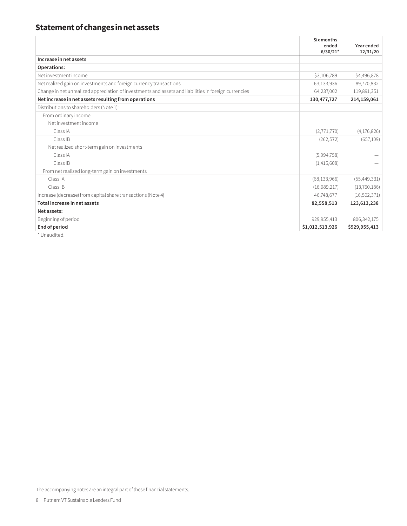# **Statement of changes in net assets**

|                                                                                                       | Six months<br>ended<br>$6/30/21*$ | Year ended<br>12/31/20 |
|-------------------------------------------------------------------------------------------------------|-----------------------------------|------------------------|
| Increase in net assets                                                                                |                                   |                        |
| Operations:                                                                                           |                                   |                        |
| Net investment income                                                                                 | \$3,106,789                       | \$4,496,878            |
| Net realized gain on investments and foreign currency transactions                                    | 63,133,936                        | 89,770,832             |
| Change in net unrealized appreciation of investments and assets and liabilities in foreign currencies | 64,237,002                        | 119,891,351            |
| Net increase in net assets resulting from operations                                                  | 130,477,727                       | 214,159,061            |
| Distributions to shareholders (Note 1):                                                               |                                   |                        |
| From ordinary income                                                                                  |                                   |                        |
| Net investment income                                                                                 |                                   |                        |
| Class IA                                                                                              | (2,771,770)                       | (4, 176, 826)          |
| Class IB                                                                                              | (262, 572)                        | (657, 109)             |
| Net realized short-term gain on investments                                                           |                                   |                        |
| Class IA                                                                                              | (5,994,758)                       |                        |
| Class IB                                                                                              | (1,415,608)                       |                        |
| From net realized long-term gain on investments                                                       |                                   |                        |
| Class IA                                                                                              | (68, 133, 966)                    | (55, 449, 331)         |
| Class IB                                                                                              | (16,089,217)                      | (13,760,186)           |
| Increase (decrease) from capital share transactions (Note 4)                                          | 46,748,677                        | (16, 502, 371)         |
| Total increase in net assets                                                                          | 82,558,513                        | 123,613,238            |
| Net assets:                                                                                           |                                   |                        |
| Beginning of period                                                                                   | 929,955,413                       | 806, 342, 175          |
| <b>End of period</b>                                                                                  | \$1,012,513,926                   | \$929,955,413          |

\* Unaudited.

The accompanying notes are an integral part of these financial statements.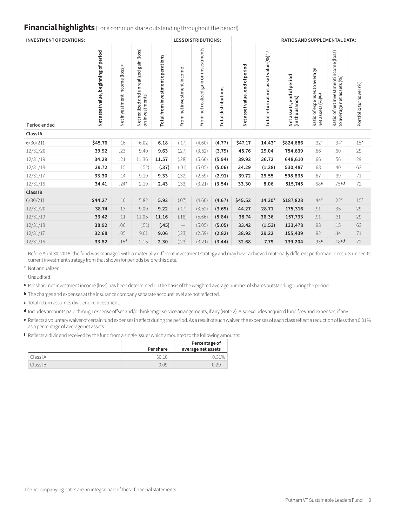## **Financial highlights** (For a common share outstanding throughout the period)

| <b>INVESTMENT OPERATIONS:</b> |                                      |                                           |                                                                   |                                  |                            | <b>LESS DISTRIBUTIONS:</b>            |                            |                                   |                                        | RATIOS AND SUPPLEMENTAL DATA:               |                                                  |                                                                    |                       |
|-------------------------------|--------------------------------------|-------------------------------------------|-------------------------------------------------------------------|----------------------------------|----------------------------|---------------------------------------|----------------------------|-----------------------------------|----------------------------------------|---------------------------------------------|--------------------------------------------------|--------------------------------------------------------------------|-----------------------|
| Period ended                  | Net asset value, beginning of period | Net investment income (loss) <sup>a</sup> | gain (loss)<br>unrealized<br>and<br>on investments<br>Netrealized | Total from investment operations | From net investment income | From net realized gain on investments | <b>Total distributions</b> | end of period<br>Net asset value, | Total return at net asset value (%)b,c | Net assets, end of period<br>(in thousands) | Ratio of expenses to average<br>netassets (%)b,d | Ratio of net investment income (loss)<br>to average net assets (%) | Portfolioturnover (%) |
| Class IA                      |                                      |                                           |                                                                   |                                  |                            |                                       |                            |                                   |                                        |                                             |                                                  |                                                                    |                       |
| 6/30/21                       | \$45.76                              | .16                                       | 6.02                                                              | 6.18                             | (.17)                      | (4.60)                                | (4.77)                     | \$47.17                           | $14.43*$                               | \$824,686                                   | $.32*$                                           | $.34*$                                                             | $15*$                 |
| 12/31/20                      | 39.92                                | .23                                       | 9.40                                                              | 9.63                             | (.27)                      | (3.52)                                | (3.79)                     | 45.76                             | 29.04                                  | 754,639                                     | .66                                              | .60                                                                | 29                    |
| 12/31/19                      | 34.29                                | .21                                       | 11.36                                                             | 11.57                            | (.28)                      | (5.66)                                | (5.94)                     | 39.92                             | 36.72                                  | 648,610                                     | .66                                              | .56                                                                | 29                    |
| 12/31/18                      | 39.72                                | .15                                       | (.52)                                                             | (.37)                            | (.01)                      | (5.05)                                | (5.06)                     | 34.29                             | (1.28)                                 | 530,487                                     | .68                                              | .40                                                                | 63                    |
| 12/31/17                      | 33.30                                | .14                                       | 9.19                                                              | 9.33                             | (.32)                      | (2.59)                                | (2.91)                     | 39.72                             | 29.55                                  | 598,835                                     | .67                                              | .39                                                                | 71                    |
| 12/31/16                      | 34.41                                | .24f                                      | 2.19                                                              | 2.43                             | (.33)                      | (3.21)                                | (3.54)                     | 33.30                             | 8.06                                   | 515,745                                     | .68e                                             | $.75$ e,f                                                          | 72                    |
| Class IB                      |                                      |                                           |                                                                   |                                  |                            |                                       |                            |                                   |                                        |                                             |                                                  |                                                                    |                       |
| 6/30/21                       | \$44.27                              | .10                                       | 5.82                                                              | 5.92                             | (.07)                      | (4.60)                                | (4.67)                     | \$45.52                           | 14.30*                                 | \$187,828                                   | $.44*$                                           | $.22*$                                                             | $15*$                 |
| 12/31/20                      | 38.74                                | .13                                       | 9.09                                                              | 9.22                             | (.17)                      | (3.52)                                | (3.69)                     | 44.27                             | 28.71                                  | 175,316                                     | .91                                              | .35                                                                | 29                    |
| 12/31/19                      | 33.42                                | .11                                       | 11.05                                                             | 11.16                            | (.18)                      | (5.66)                                | (5.84)                     | 38.74                             | 36.36                                  | 157,733                                     | .91                                              | .31                                                                | 29                    |
| 12/31/18                      | 38.92                                | .06                                       | (.51)                                                             | (.45)                            | $\qquad \qquad -$          | (5.05)                                | (5.05)                     | 33.42                             | (1.53)                                 | 133,478                                     | .93                                              | .15                                                                | 63                    |
| 12/31/17                      | 32.68                                | .05                                       | 9.01                                                              | 9.06                             | (.23)                      | (2.59)                                | (2.82)                     | 38.92                             | 29.22                                  | 155,439                                     | .92                                              | .14                                                                | 71                    |
| 12/31/16                      | 33.82                                | .15f                                      | 2.15                                                              | 2.30                             | (.23)                      | (3.21)                                | (3.44)                     | 32.68                             | 7.79                                   | 139,204                                     | .93e                                             | .48e.f                                                             | 72                    |

Before April 30, 2018, the fund was managed with a materially different investment strategy and may have achieved materially different performance results under its current investment strategy from that shown for periods before this date.

\* Not annualized.

† Unaudited.

**<sup>a</sup>** Per share net investment income (loss) has been determined on the basis of the weighted average number of shares outstanding during the period.

**<sup>b</sup>** The charges and expenses at the insurance company separate account level are not reflected.

**<sup>c</sup>** Total return assumes dividend reinvestment.

**<sup>d</sup>** Includes amounts paid through expense offset and/or brokerage service arrangements, if any (Note 2). Also excludes acquired fund fees and expenses, if any.

**<sup>e</sup>** Reflects a voluntary waiver of certain fund expenses in effect during the period. As a result of such waiver, the expenses of each class reflect a reduction of less than 0.01% as a percentage of average net assets.

**<sup>f</sup>** Reflects a dividend received by the fund from a single issuer which amounted to the following amounts:

|          | <b>Per share</b> | Percentage of<br>average net assets |
|----------|------------------|-------------------------------------|
| Class IA | \$0.10           | $2.31\%$                            |
| Class IB | N U 0            | 0.29                                |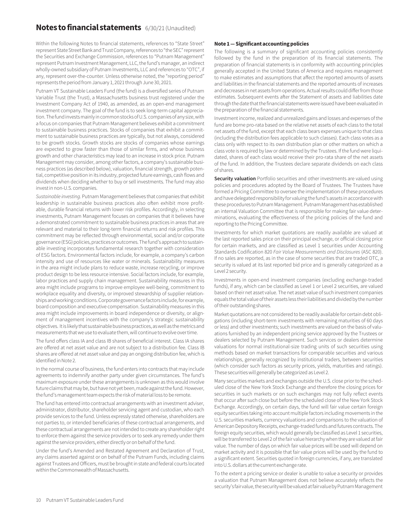### **Notes to financial statements** 6/30/21 (Unaudited)

Within the following Notes to financial statements, references to "State Street" represent State Street Bank and Trust Company, references to "the SEC" represent the Securities and Exchange Commission, references to "Putnam Management" represent Putnam Investment Management, LLC, the fund's manager, an indirect wholly-owned subsidiary of Putnam Investments, LLC and references to "OTC", if any, represent over-the-counter. Unless otherwise noted, the "reporting period" represents the period from January 1, 2021 through June 30, 2021.

Putnam VT Sustainable Leaders Fund (the fund) is a diversified series of Putnam Variable Trust (the Trust), a Massachusetts business trust registered under the Investment Company Act of 1940, as amended, as an open-end management investment company. The goal of the fund is to seek long-term capital appreciation. The fund invests mainly in common stocks of U.S. companies of any size, with a focus on companies that Putnam Management believes exhibit a commitment to sustainable business practices. Stocks of companies that exhibit a commitment to sustainable business practices are typically, but not always, considered to be growth stocks. Growth stocks are stocks of companies whose earnings are expected to grow faster than those of similar firms, and whose business growth and other characteristics may lead to an increase in stock price. Putnam Management may consider, among other factors, a company's sustainable business practices (as described below), valuation, financial strength, growth potential, competitive position in its industry, projected future earnings, cash flows and dividends when deciding whether to buy or sell investments. The fund may also invest in non-U.S. companies.

*Sustainable investing.* Putnam Management believes that companies that exhibit leadership in sustainable business practices also often exhibit more profitable, durable financial returns with lower risk profiles. Accordingly, in selecting investments, Putnam Management focuses on companies that it believes have a demonstrated commitment to sustainable business practices in areas that are relevant and material to their long-term financial returns and risk profiles. This commitment may be reflected through environmental, social and/or corporate governance (ESG) policies, practices or outcomes. The fund's approach to sustainable investing incorporates fundamental research together with consideration of ESG factors. Environmental factors include, for example, a company's carbon intensity and use of resources like water or minerals. Sustainability measures in the area might include plans to reduce waste, increase recycling, or improve product design to be less resource intensive. Social factors include, for example, labor practices and supply chain management. Sustainability measures in this area might include programs to improve employee well-being, commitment to workplace equality and diversity, or improved stewardship of supplier relationships and working conditions. Corporate governance factors include, for example, board composition and executive compensation. Sustainability measures in this area might include improvements in board independence or diversity, or alignment of management incentives with the company's strategic sustainability objectives. It is likely that sustainable business practices, as well as the metrics and measurements that we use to evaluate them, will continue to evolve over time.

The fund offers class IA and class IB shares of beneficial interest. Class IA shares are offered at net asset value and are not subject to a distribution fee. Class IB shares are offered at net asset value and pay an ongoing distribution fee, which is identified in Note 2.

In the normal course of business, the fund enters into contracts that may include agreements to indemnify another party under given circumstances. The fund's maximum exposure under these arrangements is unknown as this would involve future claims that may be, but have not yet been, made against the fund. However, the fund's management team expects the risk of material loss to be remote.

The fund has entered into contractual arrangements with an investment adviser, administrator, distributor, shareholder servicing agent and custodian, who each provide services to the fund. Unless expressly stated otherwise, shareholders are not parties to, or intended beneficiaries of these contractual arrangements, and these contractual arrangements are not intended to create any shareholder right to enforce them against the service providers or to seek any remedy under them against the service providers, either directly or on behalf of the fund.

Under the fund's Amended and Restated Agreement and Declaration of Trust, any claims asserted against or on behalf of the Putnam Funds, including claims against Trustees and Officers, must be brought in state and federal courts located within the Commonwealth of Massachusetts.

#### **Note 1 — Significant accounting policies**

The following is a summary of significant accounting policies consistently followed by the fund in the preparation of its financial statements. The preparation of financial statements is in conformity with accounting principles generally accepted in the United States of America and requires management to make estimates and assumptions that affect the reported amounts of assets and liabilities in the financial statements and the reported amounts of increases and decreases in net assets from operations. Actual results could differ from those estimates. Subsequent events after the Statement of assets and liabilities date through the date that the financial statements were issued have been evaluated in the preparation of the financial statements.

Investment income, realized and unrealized gains and losses and expenses of the fund are borne pro-rata based on the relative net assets of each class to the total net assets of the fund, except that each class bears expenses unique to that class (including the distribution fees applicable to such classes). Each class votes as a class only with respect to its own distribution plan or other matters on which a class vote is required by law or determined by the Trustees. If the fund were liquidated, shares of each class would receive their pro-rata share of the net assets of the fund. In addition, the Trustees declare separate dividends on each class of shares.

**Security valuation** Portfolio securities and other investments are valued using policies and procedures adopted by the Board of Trustees. The Trustees have formed a Pricing Committee to oversee the implementation of these procedures and have delegated responsibility for valuing the fund's assets in accordance with these procedures to Putnam Management. Putnam Management has established an internal Valuation Committee that is responsible for making fair value determinations, evaluating the effectiveness of the pricing policies of the fund and reporting to the Pricing Committee.

Investments for which market quotations are readily available are valued at the last reported sales price on their principal exchange, or official closing price for certain markets, and are classified as Level 1 securities under Accounting Standards Codification 820 *Fair Value Measurements and Disclosures* (ASC 820). If no sales are reported, as in the case of some securities that are traded OTC, a security is valued at its last reported bid price and is generally categorized as a Level 2 security.

Investments in open-end investment companies (excluding exchange-traded funds), if any, which can be classified as Level 1 or Level 2 securities, are valued based on their net asset value. The net asset value of such investment companies equals the total value of their assets less their liabilities and divided by the number of their outstanding shares.

Market quotations are not considered to be readily available for certain debt obligations (including short-term investments with remaining maturities of 60 days or less) and other investments; such investments are valued on the basis of valuations furnished by an independent pricing service approved by the Trustees or dealers selected by Putnam Management. Such services or dealers determine valuations for normal institutional-size trading units of such securities using methods based on market transactions for comparable securities and various relationships, generally recognized by institutional traders, between securities (which consider such factors as security prices, yields, maturities and ratings). These securities will generally be categorized as Level 2.

Many securities markets and exchanges outside the U.S. close prior to the scheduled close of the New York Stock Exchange and therefore the closing prices for securities in such markets or on such exchanges may not fully reflect events that occur after such close but before the scheduled close of the New York Stock Exchange. Accordingly, on certain days, the fund will fair value certain foreign equity securities taking into account multiple factors including movements in the U.S. securities markets, currency valuations and comparisons to the valuation of American Depository Receipts, exchange-traded funds and futures contracts. The foreign equity securities, which would generally be classified as Level 1 securities, will be transferred to Level 2 of the fair value hierarchy when they are valued at fair value. The number of days on which fair value prices will be used will depend on market activity and it is possible that fair value prices will be used by the fund to a significant extent. Securities quoted in foreign currencies, if any, are translated into U.S. dollars at the current exchange rate.

To the extent a pricing service or dealer is unable to value a security or provides a valuation that Putnam Management does not believe accurately reflects the security's fair value, the security will be valued at fair value by Putnam Management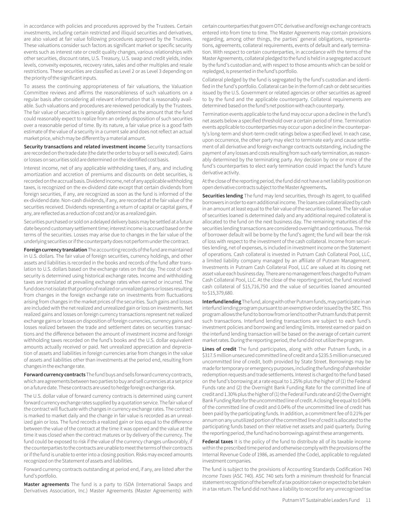in accordance with policies and procedures approved by the Trustees. Certain investments, including certain restricted and illiquid securities and derivatives, are also valued at fair value following procedures approved by the Trustees. These valuations consider such factors as significant market or specific security events such as interest rate or credit quality changes, various relationships with other securities, discount rates, U.S. Treasury, U.S. swap and credit yields, index levels, convexity exposures, recovery rates, sales and other multiples and resale restrictions. These securities are classified as Level 2 or as Level 3 depending on the priority of the significant inputs.

To assess the continuing appropriateness of fair valuations, the Valuation Committee reviews and affirms the reasonableness of such valuations on a regular basis after considering all relevant information that is reasonably available. Such valuations and procedures are reviewed periodically by the Trustees. The fair value of securities is generally determined as the amount that the fund could reasonably expect to realize from an orderly disposition of such securities over a reasonable period of time. By its nature, a fair value price is a good faith estimate of the value of a security in a current sale and does not reflect an actual market price, which may be different by a material amount.

**Security transactions and related investment income** Security transactions are recorded on the trade date (the date the order to buy or sell is executed). Gains or losses on securities sold are determined on the identified cost basis.

Interest income, net of any applicable withholding taxes, if any, and including amortization and accretion of premiums and discounts on debt securities, is recorded on the accrual basis. Dividend income, net of any applicable withholding taxes, is recognized on the ex-dividend date except that certain dividends from foreign securities, if any, are recognized as soon as the fund is informed of the ex-dividend date. Non-cash dividends, if any, are recorded at the fair value of the securities received. Dividends representing a return of capital or capital gains, if any, are reflected as a reduction of cost and/or as a realized gain.

Securities purchased or sold on a delayed delivery basis may be settled at a future date beyond customary settlement time; interest income is accrued based on the terms of the securities. Losses may arise due to changes in the fair value of the underlying securities or if the counterparty does not perform under the contract.

**Foreign currency translation** The accounting records of the fund are maintained in U.S. dollars. The fair value of foreign securities, currency holdings, and other assets and liabilities is recorded in the books and records of the fund after translation to U.S. dollars based on the exchange rates on that day. The cost of each security is determined using historical exchange rates. Income and withholding taxes are translated at prevailing exchange rates when earned or incurred. The fund does not isolate that portion of realized or unrealized gains or losses resulting from changes in the foreign exchange rate on investments from fluctuations arising from changes in the market prices of the securities. Such gains and losses are included with the net realized and unrealized gain or loss on investments. Net realized gains and losses on foreign currency transactions represent net realized exchange gains or losses on disposition of foreign currencies, currency gains and losses realized between the trade and settlement dates on securities transactions and the difference between the amount of investment income and foreign withholding taxes recorded on the fund's books and the U.S. dollar equivalent amounts actually received or paid. Net unrealized appreciation and depreciation of assets and liabilities in foreign currencies arise from changes in the value of assets and liabilities other than investments at the period end, resulting from changes in the exchange rate.

**Forward currency contracts** The fund buys and sells forward currency contracts, which are agreements between two parties to buy and sell currencies at a set price on a future date. These contracts are used to hedge foreign exchange risk.

The U.S. dollar value of forward currency contracts is determined using current forward currency exchange rates supplied by a quotation service. The fair value of the contract will fluctuate with changes in currency exchange rates. The contract is marked to market daily and the change in fair value is recorded as an unrealized gain or loss. The fund records a realized gain or loss equal to the difference between the value of the contract at the time it was opened and the value at the time it was closed when the contract matures or by delivery of the currency. The fund could be exposed to risk if the value of the currency changes unfavorably, if the counterparties to the contracts are unable to meet the terms of their contracts or if the fund is unable to enter into a closing position. Risks may exceed amounts recognized on the Statement of assets and liabilities.

Forward currency contracts outstanding at period end, if any, are listed after the fund's portfolio.

**Master agreements** The fund is a party to ISDA (International Swaps and Derivatives Association, Inc.) Master Agreements (Master Agreements) with

certain counterparties that govern OTC derivative and foreign exchange contracts entered into from time to time. The Master Agreements may contain provisions regarding, among other things, the parties' general obligations, representations, agreements, collateral requirements, events of default and early termination. With respect to certain counterparties, in accordance with the terms of the Master Agreements, collateral pledged to the fund is held in a segregated account by the fund's custodian and, with respect to those amounts which can be sold or repledged, is presented in the fund's portfolio.

Collateral pledged by the fund is segregated by the fund's custodian and identified in the fund's portfolio. Collateral can be in the form of cash or debt securities issued by the U.S. Government or related agencies or other securities as agreed to by the fund and the applicable counterparty. Collateral requirements are determined based on the fund's net position with each counterparty.

Termination events applicable to the fund may occur upon a decline in the fund's net assets below a specified threshold over a certain period of time. Termination events applicable to counterparties may occur upon a decline in the counterparty's long-term and short-term credit ratings below a specified level. In each case, upon occurrence, the other party may elect to terminate early and cause settlement of all derivative and foreign exchange contracts outstanding, including the payment of any losses and costs resulting from such early termination, as reasonably determined by the terminating party. Any decision by one or more of the fund's counterparties to elect early termination could impact the fund's future derivative activity.

At the close of the reporting period, the fund did not have a net liability position on open derivative contracts subject to the Master Agreements**.**

**Securities lending** The fund may lend securities, through its agent, to qualified borrowers in order to earn additional income. The loans are collateralized by cash in an amount at least equal to the fair value of the securities loaned. The fair value of securities loaned is determined daily and any additional required collateral is allocated to the fund on the next business day. The remaining maturities of the securities lending transactions are considered overnight and continuous. The risk of borrower default will be borne by the fund's agent; the fund will bear the risk of loss with respect to the investment of the cash collateral. Income from securities lending, net of expenses, is included in investment income on the Statement of operations. Cash collateral is invested in Putnam Cash Collateral Pool, LLC, a limited liability company managed by an affiliate of Putnam Management. Investments in Putnam Cash Collateral Pool, LLC are valued at its closing net asset value each business day. There are no management fees charged to Putnam Cash Collateral Pool, LLC. At the close of the reporting period, the fund received cash collateral of \$15,716,750 and the value of securities loaned amounted to \$15,379,680.

**Interfund lending** The fund, along with other Putnam funds, may participate in an interfund lending program pursuant to an exemptive order issued by the SEC. This program allows the fund to borrow from or lend to other Putnam funds that permit such transactions. Interfund lending transactions are subject to each fund's investment policies and borrowing and lending limits. Interest earned or paid on the interfund lending transaction will be based on the average of certain current market rates. During the reporting period, the fund did not utilize the program.

**Lines of credit** The fund participates, along with other Putnam funds, in a \$317.5 million unsecured committed line of credit and a \$235.5 million unsecured uncommitted line of credit, both provided by State Street. Borrowings may be made for temporary or emergency purposes, including the funding of shareholder redemption requests and trade settlements. Interest is charged to the fund based on the fund's borrowing at a rate equal to 1.25% plus the higher of (1) the Federal Funds rate and (2) the Overnight Bank Funding Rate for the committed line of credit and 1.30% plus the higher of (1) the Federal Funds rate and (2) the Overnight Bank Funding Rate for the uncommitted line of credit. A closing fee equal to 0.04% of the committed line of credit and 0.04% of the uncommitted line of credit has been paid by the participating funds. In addition, a commitment fee of 0.21% per annum on any unutilized portion of the committed line of credit is allocated to the participating funds based on their relative net assets and paid quarterly. During the reporting period, the fund had no borrowings against these arrangements.

**Federal taxes** It is the policy of the fund to distribute all of its taxable income within the prescribed time period and otherwise comply with the provisions of the Internal Revenue Code of 1986, as amended (the Code), applicable to regulated investment companies.

The fund is subject to the provisions of Accounting Standards Codification 740 *Income Taxes* (ASC 740). ASC 740 sets forth a minimum threshold for financial statement recognition of the benefit of a tax position taken or expected to be taken in a tax return. The fund did not have a liability to record for any unrecognized tax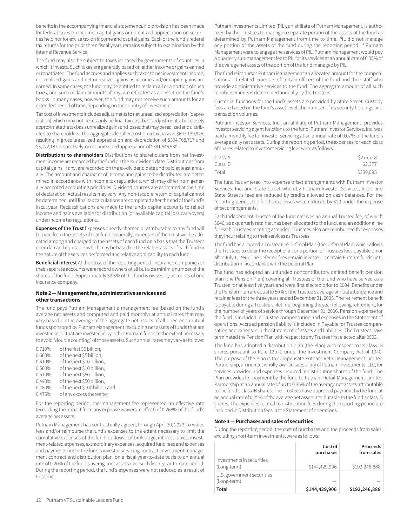benefits in the accompanying financial statements. No provision has been made for federal taxes on income, capital gains or unrealized appreciation on securities held nor for excise tax on income and capital gains. Each of the fund's federal tax returns for the prior three fiscal years remains subject to examination by the Internal Revenue Service.

The fund may also be subject to taxes imposed by governments of countries in which it invests. Such taxes are generally based on either income or gains earned or repatriated. The fund accrues and applies such taxes to net investment income, net realized gains and net unrealized gains as income and/or capital gains are earned. In some cases, the fund may be entitled to reclaim all or a portion of such taxes, and such reclaim amounts, if any, are reflected as an asset on the fund's books. In many cases, however, the fund may not receive such amounts for an extended period of time, depending on the country of investment.

Tax cost of investments includes adjustments to net unrealized appreciation (depreciation) which may not necessarily be final tax cost basis adjustments, but closely approximate the tax basis unrealized gains and losses that may be realized and distributed to shareholders. The aggregate identified cost on a tax basis is \$647,139,925, resulting in gross unrealized appreciation and depreciation of \$394,768,717 and \$3,122,187, respectively, or net unrealized appreciation of \$391,646,530.

**Distributions to shareholders** Distributions to shareholders from net investment income are recorded by the fund on the ex-dividend date. Distributions from capital gains, if any, are recorded on the ex-dividend date and paid at least annually. The amount and character of income and gains to be distributed are determined in accordance with income tax regulations, which may differ from generally accepted accounting principles. Dividend sources are estimated at the time of declaration. Actual results may vary. Any non-taxable return of capital cannot be determined until final tax calculations are completed after the end of the fund's fiscal year. Reclassifications are made to the fund's capital accounts to reflect income and gains available for distribution (or available capital loss carryovers) under income tax regulations.

**Expenses of the Trust** Expenses directly charged or attributable to any fund will be paid from the assets of that fund. Generally, expenses of the Trust will be allocated among and charged to the assets of each fund on a basis that the Trustees deem fair and equitable, which may be based on the relative assets of each fund or the nature of the services performed and relative applicability to each fund.

**Beneficial interest** At the close of the reporting period, insurance companies or their separate accounts were record owners of all but a de minimis number of the shares of the fund. Approximately 32.6% of the fund is owned by accounts of one insurance company.

#### **Note 2 — Management fee, administrative services and other transactions**

The fund pays Putnam Management a management fee (based on the fund's average net assets and computed and paid monthly) at annual rates that may vary based on the average of the aggregate net assets of all open-end mutual funds sponsored by Putnam Management (excluding net assets of funds that are invested in, or that are invested in by, other Putnam funds to the extent necessary to avoid "double counting" of those assets). Such annual rates may vary as follows:

0.710% of the first \$5 billion, 0.660% of the next \$5 billion, 0.610% of the next \$10 billion, 0.560% of the next \$10 billion, 0.510% of the next \$50 billion, 0.490% of the next \$50 billion, 0.480% of the next \$100 billion and 0.475% of any excess thereafter.

For the reporting period, the management fee represented an effective rate (excluding the impact from any expense waivers in effect) of 0.268% of the fund's average net assets.

Putnam Management has contractually agreed, through April 30, 2023, to waive fees and/or reimburse the fund's expenses to the extent necessary to limit the cumulative expenses of the fund, exclusive of brokerage, interest, taxes, investment-related expenses, extraordinary expenses, acquired fund fees and expenses and payments under the fund's investor servicing contract, investment management contract and distribution plan, on a fiscal year-to-date basis to an annual rate of 0.20% of the fund's average net assets over such fiscal year-to-date period. During the reporting period, the fund's expenses were not reduced as a result of this limit.

Putnam Investments Limited (PIL), an affiliate of Putnam Management, is authorized by the Trustees to manage a separate portion of the assets of the fund as determined by Putnam Management from time to time. PIL did not manage any portion of the assets of the fund during the reporting period. If Putnam Management were to engage the services of PIL, Putnam Management would pay a quarterly sub-management fee to PIL for its services at an annual rate of 0.35% of the average net assets of the portion of the fund managed by PIL.

The fund reimburses Putnam Management an allocated amount for the compensation and related expenses of certain officers of the fund and their staff who provide administrative services to the fund. The aggregate amount of all such reimbursements is determined annually by the Trustees.

Custodial functions for the fund's assets are provided by State Street. Custody fees are based on the fund's asset level, the number of its security holdings and transaction volumes.

Putnam Investor Services, Inc., an affiliate of Putnam Management, provides investor servicing agent functions to the fund. Putnam Investor Services, Inc. was paid a monthly fee for investor servicing at an annual rate of 0.07% of the fund's average daily net assets. During the reporting period, the expenses for each class of shares related to investor servicing fees were as follows:

| Class IA | \$275,718 |
|----------|-----------|
| Class IB | 63.377    |
| Total    | \$339,095 |

The fund has entered into expense offset arrangements with Putnam Investor Services, Inc. and State Street whereby Putnam Investor Services, Inc.'s and State Street's fees are reduced by credits allowed on cash balances. For the reporting period, the fund's expenses were reduced by \$20 under the expense offset arrangements.

Each Independent Trustee of the fund receives an annual Trustee fee, of which \$640, as a quarterly retainer, has been allocated to the fund, and an additional fee for each Trustees meeting attended. Trustees also are reimbursed for expenses they incur relating to their services as Trustees.

The fund has adopted a Trustee Fee Deferral Plan (the Deferral Plan) which allows the Trustees to defer the receipt of all or a portion of Trustees fees payable on or after July 1, 1995. The deferred fees remain invested in certain Putnam funds until distribution in accordance with the Deferral Plan.

The fund has adopted an unfunded noncontributory defined benefit pension plan (the Pension Plan) covering all Trustees of the fund who have served as a Trustee for at least five years and were first elected prior to 2004. Benefits under the Pension Plan are equal to 50% of the Trustee's average annual attendance and retainer fees for the three years ended December 31, 2005. The retirement benefit is payable during a Trustee's lifetime, beginning the year following retirement, for the number of years of service through December 31, 2006. Pension expense for the fund is included in Trustee compensation and expenses in the Statement of operations. Accrued pension liability is included in Payable for Trustee compensation and expenses in the Statement of assets and liabilities. The Trustees have terminated the Pension Plan with respect to any Trustee first elected after 2003.

The fund has adopted a distribution plan (the Plan) with respect to its class IB shares pursuant to Rule 12b–1 under the Investment Company Act of 1940. The purpose of the Plan is to compensate Putnam Retail Management Limited Partnership, an indirect wholly-owned subsidiary of Putnam Investments, LLC, for services provided and expenses incurred in distributing shares of the fund. The Plan provides for payment by the fund to Putnam Retail Management Limited Partnership at an annual rate of up to 0.35% of the average net assets attributable to the fund's class IB shares. The Trustees have approved payment by the fund at an annual rate of 0.25% of the average net assets attributable to the fund's class IB shares. The expenses related to distribution fees during the reporting period are included in Distribution fees in the Statement of operations.

#### **Note 3 — Purchases and sales of securities**

During the reporting period, the cost of purchases and the proceeds from sales, excluding short-term investments, were as follows:

|                                           | Cost of<br>purchases | Proceeds<br>from sales |
|-------------------------------------------|----------------------|------------------------|
| Investments in securities<br>(Long-term)  | \$144,429,906        | \$192,246,888          |
| U.S. government securities<br>(Long-term) |                      |                        |
| Total                                     | \$144,429,906        | \$192,246,888          |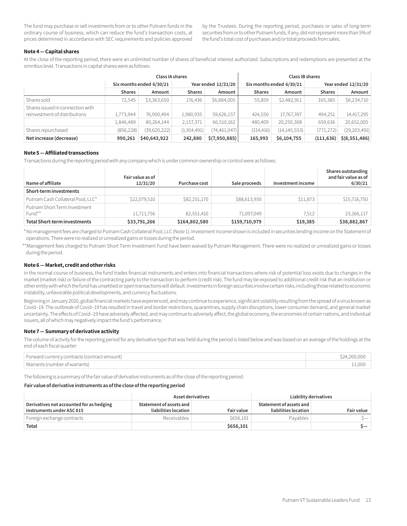The fund may purchase or sell investments from or to other Putnam funds in the ordinary course of business, which can reduce the fund's transaction costs, at prices determined in accordance with SEC requirements and policies approved by the Trustees. During the reporting period, purchases or sales of long-term securities from or to other Putnam funds, if any, did not represent more than 5% of the fund's total cost of purchases and/or total proceeds from sales.

#### **Note 4 — Capital shares**

At the close of the reporting period, there were an unlimited number of shares of beneficial interest authorized. Subscriptions and redemptions are presented at the omnibus level. Transactions in capital shares were as follows:

|                                                                   | <b>Class IA shares</b>   |              |                     |                | Class IB shares          |                |                     |                |
|-------------------------------------------------------------------|--------------------------|--------------|---------------------|----------------|--------------------------|----------------|---------------------|----------------|
|                                                                   | Six months ended 6/30/21 |              | Year ended 12/31/20 |                | Six months ended 6/30/21 |                | Year ended 12/31/20 |                |
|                                                                   | <b>Shares</b>            | Amount       | <b>Shares</b>       | Amount         | <b>Shares</b>            | Amount         | <b>Shares</b>       | Amount         |
| Shares sold                                                       | 72.545                   | \$3,363,650  | 176,436             | \$6,884,005    | 55,859                   | \$2,482,911    | 165,385             | \$6,234,710    |
| Shares issued in connection with<br>reinvestment of distributions | 1,773,944                | 76,900,494   | 1,980,935           | 59,626,157     | 424,550                  | 17,767,397     | 494,251             | 14,417,295     |
|                                                                   | 1,846,489                | 80,264,144   | 2,157,371           | 66,510,162     | 480,409                  | 20,250,308     | 659,636             | 20,652,005     |
| Shares repurchased                                                | (856, 228)               | (39,620,222) | (1,914,491)         | (74, 461, 047) | (314, 416)               | (14, 145, 553) | (771, 272)          | (29, 203, 491) |
| Net increase (decrease)                                           | 990,261                  | \$40,643,922 | 242,880             | \$(7,950,885)  | 165,993                  | \$6,104,755    | (111, 636)          | \$(8,551,486)  |

#### **Note 5 — Affiliated transactions**

Transactions during the reporting period with any company which is under common ownership or control were as follows:

| Name of affiliate                        | Fair value as of<br>12/31/20 | Purchase cost | Sale proceeds | Investment income | Shares outstanding<br>and fair value as of<br>6/30/21 |
|------------------------------------------|------------------------------|---------------|---------------|-------------------|-------------------------------------------------------|
| Short-term investments                   |                              |               |               |                   |                                                       |
| Putnam Cash Collateral Pool, LLC*        | \$22,079,510                 | \$82,251,170  | \$88,613,930  | \$11,873          | \$15,716,750                                          |
| Putnam Short Term Investment<br>$Fund**$ | 11,711,756                   | 82,551,410    | 71,097,049    | 7.512             | 23,166,117                                            |
| <b>Total Short-term investments</b>      | \$33,791,266                 | \$164,802,580 | \$159,710,979 | \$19,385          | \$38,882,867                                          |

 \*No management fees are charged to Putnam Cash Collateral Pool, LLC (Note 1). Investment income shown is included in securities lending income on the Statement of operations. There were no realized or unrealized gains or losses during the period.

 \*\*Management fees charged to Putnam Short Term Investment Fund have been waived by Putnam Management. There were no realized or unrealized gains or losses during the period.

#### **Note 6 — Market, credit and other risks**

In the normal course of business, the fund trades financial instruments and enters into financial transactions where risk of potential loss exists due to changes in the market (market risk) or failure of the contracting party to the transaction to perform (credit risk). The fund may be exposed to additional credit risk that an institution or other entity with which the fund has unsettled or open transactions will default. Investments in foreign securities involve certain risks, including those related to economic instability, unfavorable political developments, and currency fluctuations.

Beginning in January 2020, global financial markets have experienced, and may continue to experience, significant volatility resulting from the spread of a virus known as Covid–19. The outbreak of Covid–19 has resulted in travel and border restrictions, quarantines, supply chain disruptions, lower consumer demand, and general market uncertainty. The effects of Covid–19 have adversely affected, and may continue to adversely affect, the global economy, the economies of certain nations, and individual issuers, all of which may negatively impact the fund's performance.

#### **Note 7 — Summary of derivative activity**

The volume of activity for the reporting period for any derivative type that was held during the period is listed below and was based on an average of the holdings at the end of each fiscal quarter:

| Forward currency contracts (contract amount) | 524,200,000 |
|----------------------------------------------|-------------|
| Warrants (number of warrants)                | 1,000       |

The following is a summary of the fair value of derivative instruments as of the close of the reporting period:

#### **Fair value of derivative instruments as of the close of the reporting period**

|                                                                                      | Asset derivatives                               |                   | Liability derivatives                           |                   |  |
|--------------------------------------------------------------------------------------|-------------------------------------------------|-------------------|-------------------------------------------------|-------------------|--|
| Derivatives not accounted for as hedging<br>$^{\shortmid}$ instruments under ASC 815 | Statement of assets and<br>liabilities location | <b>Fair value</b> | Statement of assets and<br>liabilities location | <b>Fair value</b> |  |
| Foreign exchange contracts                                                           | Receivables                                     | \$656,101         | Pavables                                        |                   |  |
| Total                                                                                |                                                 | \$656,101         |                                                 | )—                |  |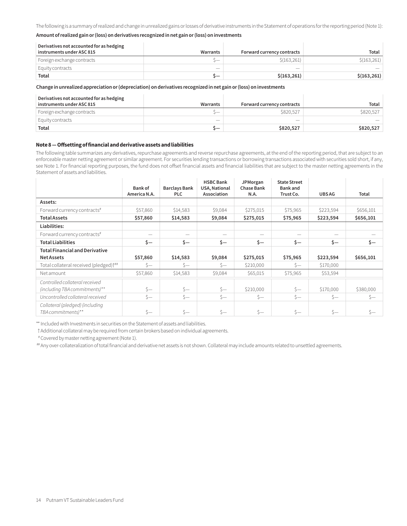The following is a summary of realized and change in unrealized gains or losses of derivative instruments in the Statement of operations for the reporting period (Note 1):

#### **Amount of realized gain or (loss) on derivatives recognized in net gain or (loss) on investments**

| Derivatives not accounted for as hedging |           |                            |              |
|------------------------------------------|-----------|----------------------------|--------------|
| $^{\shortmid}$ instruments under ASC 815 | Warrants  | Forward currency contracts | Total        |
| Foreign exchange contracts               | <u>__</u> | \$(163, 261)               | \$(163, 261) |
| Equity contracts                         | _         |                            |              |
| Total                                    | ╮—        | \$(163, 261)               | \$(163, 261) |

#### **Change in unrealized appreciation or (depreciation) on derivatives recognized in net gain or (loss) on investments**

| Derivatives not accounted for as hedging<br>instruments under ASC 815 | Warrants | Forward currency contracts | Total     |
|-----------------------------------------------------------------------|----------|----------------------------|-----------|
| Foreign exchange contracts                                            | ._       | \$820.527                  | \$820,527 |
| Equity contracts                                                      | _        |                            |           |
| Total                                                                 | ╮—       | \$820,527                  | \$820,527 |

#### **Note 8 — Offsetting of financial and derivative assets and liabilities**

The following table summarizes any derivatives, repurchase agreements and reverse repurchase agreements, at the end of the reporting period, that are subject to an enforceable master netting agreement or similar agreement. For securities lending transactions or borrowing transactions associated with securities sold short, if any, see Note 1. For financial reporting purposes, the fund does not offset financial assets and financial liabilities that are subject to the master netting agreements in the Statement of assets and liabilities.

|                                                    | Bank of<br>America N.A. | <b>Barclays Bank</b><br>PLC | <b>HSBC Bank</b><br>USA, National<br>Association | JPMorgan<br><b>Chase Bank</b><br>N.A. | <b>State Street</b><br><b>Bank</b> and<br>Trust Co. | <b>UBSAG</b> | Total     |
|----------------------------------------------------|-------------------------|-----------------------------|--------------------------------------------------|---------------------------------------|-----------------------------------------------------|--------------|-----------|
| Assets:                                            |                         |                             |                                                  |                                       |                                                     |              |           |
| Forward currency contracts <sup>#</sup>            | \$57,860                | \$14,583                    | \$9,084                                          | \$275,015                             | \$75,965                                            | \$223,594    | \$656,101 |
| <b>Total Assets</b>                                | \$57,860                | \$14,583                    | \$9,084                                          | \$275,015                             | \$75,965                                            | \$223,594    | \$656,101 |
| Liabilities:                                       |                         |                             |                                                  |                                       |                                                     |              |           |
| Forward currency contracts <sup>#</sup>            |                         |                             |                                                  |                                       |                                                     |              |           |
| <b>Total Liabilities</b>                           | \$—                     | \$—                         | \$—                                              | \$—                                   | \$—                                                 | $\zeta-$     | \$—       |
| <b>Total Financial and Derivative</b>              |                         |                             |                                                  |                                       |                                                     |              |           |
| <b>Net Assets</b>                                  | \$57,860                | \$14,583                    | \$9,084                                          | \$275,015                             | \$75,965                                            | \$223,594    | \$656,101 |
| Total collateral received (pledged) <sup>†##</sup> | $S-$                    | $S-$                        | $S-$                                             | \$210,000                             | $S-$                                                | \$170,000    |           |
| Net amount                                         | \$57,860                | \$14,583                    | \$9,084                                          | \$65,015                              | \$75,965                                            | \$53,594     |           |
| Controlled collateral received                     |                         |                             |                                                  |                                       |                                                     |              |           |
| (including TBA commitments)**                      | $S-$                    | $s-$                        | $s-$                                             | \$210,000                             | $S-$                                                | \$170,000    | \$380,000 |
| Uncontrolled collateral received                   | $S-$                    | $S-$                        | $S-$                                             | $s-$                                  | $s-$                                                | $s-$         | $S-$      |
| Collateral (pledged) (including                    |                         |                             |                                                  |                                       |                                                     |              |           |
| TBA commitments)**                                 | $S-$                    | $S-$                        | $s-$                                             | $S-$                                  | \$—                                                 | $s-$         | Ś—        |

\*\* Included with Investments in securities on the Statement of assets and liabilities.

†Additional collateral may be required from certain brokers based on individual agreements.

#Covered by master netting agreement (Note 1).

##Any over-collateralization of total financial and derivative net assets is not shown. Collateral may include amounts related to unsettled agreements.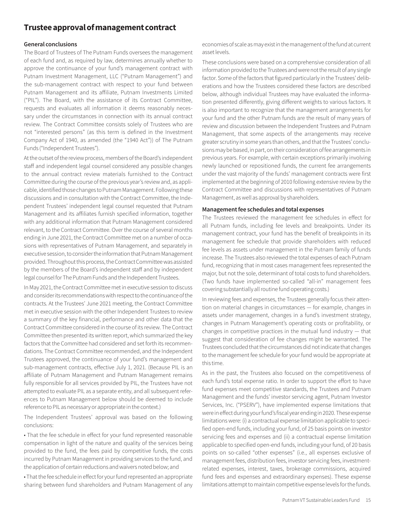# **Trustee approval of management contract**

#### **General conclusions**

The Board of Trustees of The Putnam Funds oversees the management of each fund and, as required by law, determines annually whether to approve the continuance of your fund's management contract with Putnam Investment Management, LLC ("Putnam Management") and the sub-management contract with respect to your fund between Putnam Management and its affiliate, Putnam Investments Limited ("PIL"). The Board, with the assistance of its Contract Committee, requests and evaluates all information it deems reasonably necessary under the circumstances in connection with its annual contract review. The Contract Committee consists solely of Trustees who are not "interested persons" (as this term is defined in the Investment Company Act of 1940, as amended (the "1940 Act")) of The Putnam Funds ("Independent Trustees").

At the outset of the review process, members of the Board's independent staff and independent legal counsel considered any possible changes to the annual contract review materials furnished to the Contract Committee during the course of the previous year's review and, as applicable, identified those changes to Putnam Management. Following these discussions and in consultation with the Contract Committee, the Independent Trustees' independent legal counsel requested that Putnam Management and its affiliates furnish specified information, together with any additional information that Putnam Management considered relevant, to the Contract Committee. Over the course of several months ending in June 2021, the Contract Committee met on a number of occasions with representatives of Putnam Management, and separately in executive session, to consider the information that Putnam Management provided. Throughout this process, the Contract Committee was assisted by the members of the Board's independent staff and by independent legal counsel for The Putnam Funds and the Independent Trustees.

In May 2021, the Contract Committee met in executive session to discuss and consider its recommendations with respect to the continuance of the contracts. At the Trustees' June 2021 meeting, the Contract Committee met in executive session with the other Independent Trustees to review a summary of the key financial, performance and other data that the Contract Committee considered in the course of its review. The Contract Committee then presented its written report, which summarized the key factors that the Committee had considered and set forth its recommendations. The Contract Committee recommended, and the Independent Trustees approved, the continuance of your fund's management and sub-management contracts, effective July 1, 2021. (Because PIL is an affiliate of Putnam Management and Putnam Management remains fully responsible for all services provided by PIL, the Trustees have not attempted to evaluate PIL as a separate entity, and all subsequent references to Putnam Management below should be deemed to include reference to PIL as necessary or appropriate in the context.)

The Independent Trustees' approval was based on the following conclusions:

• That the fee schedule in effect for your fund represented reasonable compensation in light of the nature and quality of the services being provided to the fund, the fees paid by competitive funds, the costs incurred by Putnam Management in providing services to the fund, and the application of certain reductions and waivers noted below; and

• That the fee schedule in effect for your fund represented an appropriate sharing between fund shareholders and Putnam Management of any economies of scale as may exist in the management of the fund at current asset levels.

These conclusions were based on a comprehensive consideration of all information provided to the Trustees and were not the result of any single factor. Some of the factors that figured particularly in the Trustees' deliberations and how the Trustees considered these factors are described below, although individual Trustees may have evaluated the information presented differently, giving different weights to various factors. It is also important to recognize that the management arrangements for your fund and the other Putnam funds are the result of many years of review and discussion between the Independent Trustees and Putnam Management, that some aspects of the arrangements may receive greater scrutiny in some years than others, and that the Trustees' conclusions may be based, in part, on their consideration of fee arrangements in previous years. For example, with certain exceptions primarily involving newly launched or repositioned funds, the current fee arrangements under the vast majority of the funds' management contracts were first implemented at the beginning of 2010 following extensive review by the Contract Committee and discussions with representatives of Putnam Management, as well as approval by shareholders.

#### **Management fee schedules and total expenses**

The Trustees reviewed the management fee schedules in effect for all Putnam funds, including fee levels and breakpoints. Under its management contract, your fund has the benefit of breakpoints in its management fee schedule that provide shareholders with reduced fee levels as assets under management in the Putnam family of funds increase. The Trustees also reviewed the total expenses of each Putnam fund, recognizing that in most cases management fees represented the major, but not the sole, determinant of total costs to fund shareholders. (Two funds have implemented so-called "all-in" management fees covering substantially all routine fund operating costs.)

In reviewing fees and expenses, the Trustees generally focus their attention on material changes in circumstances — for example, changes in assets under management, changes in a fund's investment strategy, changes in Putnam Management's operating costs or profitability, or changes in competitive practices in the mutual fund industry — that suggest that consideration of fee changes might be warranted. The Trustees concluded that the circumstances did not indicate that changes to the management fee schedule for your fund would be appropriate at this time.

As in the past, the Trustees also focused on the competitiveness of each fund's total expense ratio. In order to support the effort to have fund expenses meet competitive standards, the Trustees and Putnam Management and the funds' investor servicing agent, Putnam Investor Services, Inc. ("PSERV"), have implemented expense limitations that were in effect during your fund's fiscal year ending in 2020. These expense limitations were: (i) a contractual expense limitation applicable to specified open-end funds, including your fund, of 25 basis points on investor servicing fees and expenses and (ii) a contractual expense limitation applicable to specified open-end funds, including your fund, of 20 basis points on so-called "other expenses" (i.e., all expenses exclusive of management fees, distribution fees, investor servicing fees, investmentrelated expenses, interest, taxes, brokerage commissions, acquired fund fees and expenses and extraordinary expenses). These expense limitations attempt to maintain competitive expense levels for the funds.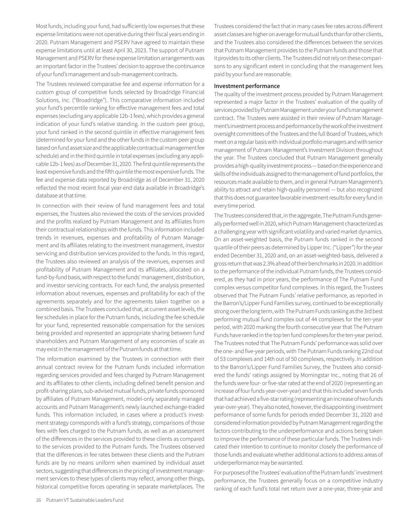Most funds, including your fund, had sufficiently low expenses that these expense limitations were not operative during their fiscal years ending in 2020. Putnam Management and PSERV have agreed to maintain these expense limitations until at least April 30, 2023. The support of Putnam Management and PSERV for these expense limitation arrangements was an important factor in the Trustees' decision to approve the continuance of your fund's management and sub-management contracts.

The Trustees reviewed comparative fee and expense information for a custom group of competitive funds selected by Broadridge Financial Solutions, Inc. ("Broadridge"). This comparative information included your fund's percentile ranking for effective management fees and total expenses (excluding any applicable 12b-1 fees), which provides a general indication of your fund's relative standing. In the custom peer group, your fund ranked in the second quintile in effective management fees (determined for your fund and the other funds in the custom peer group based on fund asset size and the applicable contractual management fee schedule) and in the third quintile in total expenses (excluding any applicable 12b-1 fees) as of December 31, 2020. The first quintile represents the least expensive funds and the fifth quintile the most expensive funds. The fee and expense data reported by Broadridge as of December 31, 2020 reflected the most recent fiscal year-end data available in Broadridge's database at that time.

In connection with their review of fund management fees and total expenses, the Trustees also reviewed the costs of the services provided and the profits realized by Putnam Management and its affiliates from their contractual relationships with the funds. This information included trends in revenues, expenses and profitability of Putnam Management and its affiliates relating to the investment management, investor servicing and distribution services provided to the funds. In this regard, the Trustees also reviewed an analysis of the revenues, expenses and profitability of Putnam Management and its affiliates, allocated on a fund-by-fund basis, with respect to the funds' management, distribution, and investor servicing contracts. For each fund, the analysis presented information about revenues, expenses and profitability for each of the agreements separately and for the agreements taken together on a combined basis. The Trustees concluded that, at current asset levels, the fee schedules in place for the Putnam funds, including the fee schedule for your fund, represented reasonable compensation for the services being provided and represented an appropriate sharing between fund shareholders and Putnam Management of any economies of scale as may exist in the management of the Putnam funds at that time.

The information examined by the Trustees in connection with their annual contract review for the Putnam funds included information regarding services provided and fees charged by Putnam Management and its affiliates to other clients, including defined benefit pension and profit-sharing plans, sub-advised mutual funds, private funds sponsored by affiliates of Putnam Management, model-only separately managed accounts and Putnam Management's newly launched exchange-traded funds. This information included, in cases where a product's investment strategy corresponds with a fund's strategy, comparisons of those fees with fees charged to the Putnam funds, as well as an assessment of the differences in the services provided to these clients as compared to the services provided to the Putnam funds. The Trustees observed that the differences in fee rates between these clients and the Putnam funds are by no means uniform when examined by individual asset sectors, suggesting that differences in the pricing of investment management services to these types of clients may reflect, among other things, historical competitive forces operating in separate marketplaces. The

Trustees considered the fact that in many cases fee rates across different asset classes are higher on average for mutual funds than for other clients, and the Trustees also considered the differences between the services that Putnam Management provides to the Putnam funds and those that it provides to its other clients. The Trustees did not rely on these comparisons to any significant extent in concluding that the management fees paid by your fund are reasonable.

#### **Investment performance**

The quality of the investment process provided by Putnam Management represented a major factor in the Trustees' evaluation of the quality of services provided by Putnam Management under your fund's management contract. The Trustees were assisted in their review of Putnam Management's investment process and performance by the work of the investment oversight committees of the Trustees and the full Board of Trustees, which meet on a regular basis with individual portfolio managers and with senior management of Putnam Management's Investment Division throughout the year. The Trustees concluded that Putnam Management generally provides a high-quality investment process — based on the experience and skills of the individuals assigned to the management of fund portfolios, the resources made available to them, and in general Putnam Management's ability to attract and retain high-quality personnel — but also recognized that this does not guarantee favorable investment results for every fund in every time period.

The Trustees considered that, in the aggregate, The Putnam Funds generally performed well in 2020, which Putnam Management characterized as a challenging year with significant volatility and varied market dynamics. On an asset-weighted basis, the Putnam funds ranked in the second quartile of their peers as determined by Lipper Inc. ("Lipper") for the year ended December 31, 2020 and, on an asset-weighted-basis, delivered a gross return that was 2.3% ahead of their benchmarks in 2020. In addition to the performance of the individual Putnam funds, the Trustees considered, as they had in prior years, the performance of The Putnam Fund complex versus competitor fund complexes. In this regard, the Trustees observed that The Putnam Funds' relative performance, as reported in the Barron's/Lipper Fund Families survey, continued to be exceptionally strong over the long term, with The Putnam Funds ranking as the 3rd best performing mutual fund complex out of 44 complexes for the ten-year period, with 2020 marking the fourth consecutive year that The Putnam Funds have ranked in the top ten fund complexes for the ten-year period. The Trustees noted that The Putnam Funds' performance was solid over the one- and five-year periods, with The Putnam Funds ranking 22nd out of 53 complexes and 14th out of 50 complexes, respectively. In addition to the Barron's/Lipper Fund Families Survey, the Trustees also considered the funds' ratings assigned by Morningstar Inc., noting that 26 of the funds were four- or five-star rated at the end of 2020 (representing an increase of four funds year-over-year) and that this included seven funds that had achieved a five-star rating (representing an increase of two funds year-over-year). They also noted, however, the disappointing investment performance of some funds for periods ended December 31, 2020 and considered information provided by Putnam Management regarding the factors contributing to the underperformance and actions being taken to improve the performance of these particular funds. The Trustees indicated their intention to continue to monitor closely the performance of those funds and evaluate whether additional actions to address areas of underperformance may be warranted.

For purposes of the Trustees' evaluation of the Putnam funds' investment performance, the Trustees generally focus on a competitive industry ranking of each fund's total net return over a one-year, three-year and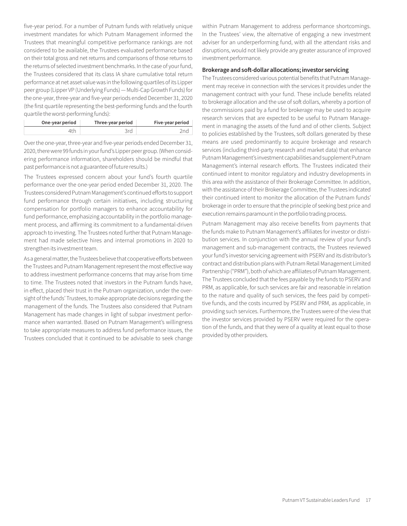five-year period. For a number of Putnam funds with relatively unique investment mandates for which Putnam Management informed the Trustees that meaningful competitive performance rankings are not considered to be available, the Trustees evaluated performance based on their total gross and net returns and comparisons of those returns to the returns of selected investment benchmarks. In the case of your fund, the Trustees considered that its class IA share cumulative total return performance at net asset value was in the following quartiles of its Lipper peer group (Lipper VP (Underlying Funds) — Multi-Cap Growth Funds) for the one-year, three-year and five-year periods ended December 31, 2020 (the first quartile representing the best-performing funds and the fourth quartile the worst-performing funds):

| One-year period | Three-year period | Five-year period |
|-----------------|-------------------|------------------|
| 4th             | 3rd               |                  |

Over the one-year, three-year and five-year periods ended December 31, 2020, there were 99 funds in your fund's Lipper peer group. (When considering performance information, shareholders should be mindful that past performance is not a guarantee of future results.)

The Trustees expressed concern about your fund's fourth quartile performance over the one-year period ended December 31, 2020. The Trustees considered Putnam Management's continued efforts to support fund performance through certain initiatives, including structuring compensation for portfolio managers to enhance accountability for fund performance, emphasizing accountability in the portfolio management process, and affirming its commitment to a fundamental-driven approach to investing. The Trustees noted further that Putnam Management had made selective hires and internal promotions in 2020 to strengthen its investment team.

As a general matter, the Trustees believe that cooperative efforts between the Trustees and Putnam Management represent the most effective way to address investment performance concerns that may arise from time to time. The Trustees noted that investors in the Putnam funds have, in effect, placed their trust in the Putnam organization, under the oversight of the funds' Trustees, to make appropriate decisions regarding the management of the funds. The Trustees also considered that Putnam Management has made changes in light of subpar investment performance when warranted. Based on Putnam Management's willingness to take appropriate measures to address fund performance issues, the Trustees concluded that it continued to be advisable to seek change within Putnam Management to address performance shortcomings. In the Trustees' view, the alternative of engaging a new investment adviser for an underperforming fund, with all the attendant risks and disruptions, would not likely provide any greater assurance of improved investment performance.

#### **Brokerage and soft-dollar allocations; investor servicing**

The Trustees considered various potential benefits that Putnam Management may receive in connection with the services it provides under the management contract with your fund. These include benefits related to brokerage allocation and the use of soft dollars, whereby a portion of the commissions paid by a fund for brokerage may be used to acquire research services that are expected to be useful to Putnam Management in managing the assets of the fund and of other clients. Subject to policies established by the Trustees, soft dollars generated by these means are used predominantly to acquire brokerage and research services (including third-party research and market data) that enhance Putnam Management's investment capabilities and supplement Putnam Management's internal research efforts. The Trustees indicated their continued intent to monitor regulatory and industry developments in this area with the assistance of their Brokerage Committee. In addition, with the assistance of their Brokerage Committee, the Trustees indicated their continued intent to monitor the allocation of the Putnam funds' brokerage in order to ensure that the principle of seeking best price and execution remains paramount in the portfolio trading process.

Putnam Management may also receive benefits from payments that the funds make to Putnam Management's affiliates for investor or distribution services. In conjunction with the annual review of your fund's management and sub-management contracts, the Trustees reviewed your fund's investor servicing agreement with PSERV and its distributor's contract and distribution plans with Putnam Retail Management Limited Partnership ("PRM"), both of which are affiliates of Putnam Management. The Trustees concluded that the fees payable by the funds to PSERV and PRM, as applicable, for such services are fair and reasonable in relation to the nature and quality of such services, the fees paid by competitive funds, and the costs incurred by PSERV and PRM, as applicable, in providing such services. Furthermore, the Trustees were of the view that the investor services provided by PSERV were required for the operation of the funds, and that they were of a quality at least equal to those provided by other providers.